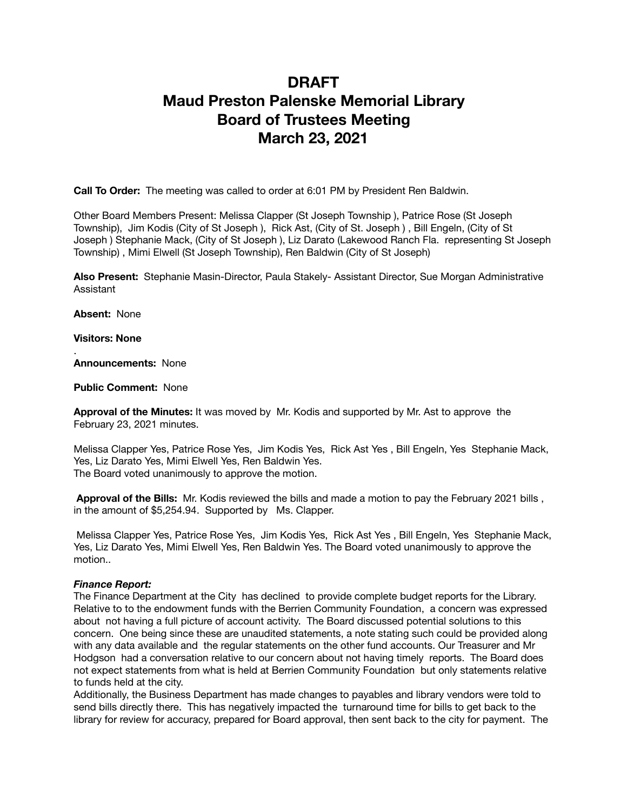# **DRAFT Maud Preston Palenske Memorial Library Board of Trustees Meeting March 23, 2021**

**Call To Order:** The meeting was called to order at 6:01 PM by President Ren Baldwin.

Other Board Members Present: Melissa Clapper (St Joseph Township ), Patrice Rose (St Joseph Township), Jim Kodis (City of St Joseph ), Rick Ast, (City of St. Joseph ) , Bill Engeln, (City of St Joseph ) Stephanie Mack, (City of St Joseph ), Liz Darato (Lakewood Ranch Fla. representing St Joseph Township) , Mimi Elwell (St Joseph Township), Ren Baldwin (City of St Joseph)

**Also Present:** Stephanie Masin-Director, Paula Stakely- Assistant Director, Sue Morgan Administrative Assistant

**Absent:** None

**Visitors: None** 

.

**Announcements:** None

**Public Comment:** None

**Approval of the Minutes:** It was moved by Mr. Kodis and supported by Mr. Ast to approve the February 23, 2021 minutes.

Melissa Clapper Yes, Patrice Rose Yes, Jim Kodis Yes, Rick Ast Yes , Bill Engeln, Yes Stephanie Mack, Yes, Liz Darato Yes, Mimi Elwell Yes, Ren Baldwin Yes. The Board voted unanimously to approve the motion.

**Approval of the Bills:** Mr. Kodis reviewed the bills and made a motion to pay the February 2021 bills , in the amount of \$5,254.94. Supported by Ms. Clapper.

 Melissa Clapper Yes, Patrice Rose Yes, Jim Kodis Yes, Rick Ast Yes , Bill Engeln, Yes Stephanie Mack, Yes, Liz Darato Yes, Mimi Elwell Yes, Ren Baldwin Yes. The Board voted unanimously to approve the motion..

#### *Finance Report:*

The Finance Department at the City has declined to provide complete budget reports for the Library. Relative to to the endowment funds with the Berrien Community Foundation, a concern was expressed about not having a full picture of account activity. The Board discussed potential solutions to this concern. One being since these are unaudited statements, a note stating such could be provided along with any data available and the regular statements on the other fund accounts. Our Treasurer and Mr Hodgson had a conversation relative to our concern about not having timely reports. The Board does not expect statements from what is held at Berrien Community Foundation but only statements relative to funds held at the city.

Additionally, the Business Department has made changes to payables and library vendors were told to send bills directly there. This has negatively impacted the turnaround time for bills to get back to the library for review for accuracy, prepared for Board approval, then sent back to the city for payment. The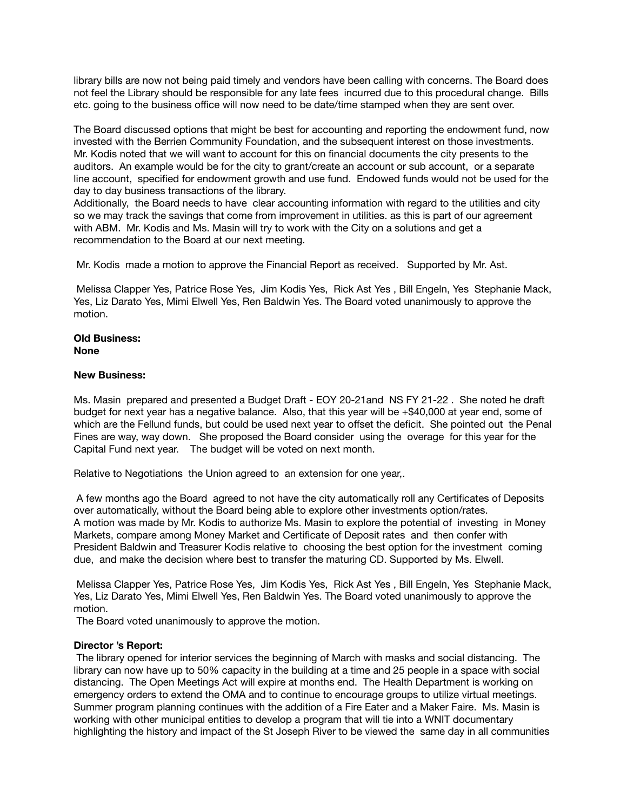library bills are now not being paid timely and vendors have been calling with concerns. The Board does not feel the Library should be responsible for any late fees incurred due to this procedural change. Bills etc. going to the business office will now need to be date/time stamped when they are sent over.

The Board discussed options that might be best for accounting and reporting the endowment fund, now invested with the Berrien Community Foundation, and the subsequent interest on those investments. Mr. Kodis noted that we will want to account for this on financial documents the city presents to the auditors. An example would be for the city to grant/create an account or sub account, or a separate line account, specified for endowment growth and use fund. Endowed funds would not be used for the day to day business transactions of the library.

Additionally, the Board needs to have clear accounting information with regard to the utilities and city so we may track the savings that come from improvement in utilities. as this is part of our agreement with ABM. Mr. Kodis and Ms. Masin will try to work with the City on a solutions and get a recommendation to the Board at our next meeting.

Mr. Kodis made a motion to approve the Financial Report as received. Supported by Mr. Ast.

 Melissa Clapper Yes, Patrice Rose Yes, Jim Kodis Yes, Rick Ast Yes , Bill Engeln, Yes Stephanie Mack, Yes, Liz Darato Yes, Mimi Elwell Yes, Ren Baldwin Yes. The Board voted unanimously to approve the motion.

#### **Old Business: None**

#### **New Business:**

Ms. Masin prepared and presented a Budget Draft - EOY 20-21and NS FY 21-22 . She noted he draft budget for next year has a negative balance. Also, that this year will be +\$40,000 at year end, some of which are the Fellund funds, but could be used next year to offset the deficit. She pointed out the Penal Fines are way, way down. She proposed the Board consider using the overage for this year for the Capital Fund next year. The budget will be voted on next month.

Relative to Negotiations the Union agreed to an extension for one year,.

 A few months ago the Board agreed to not have the city automatically roll any Certificates of Deposits over automatically, without the Board being able to explore other investments option/rates. A motion was made by Mr. Kodis to authorize Ms. Masin to explore the potential of investing in Money Markets, compare among Money Market and Certificate of Deposit rates and then confer with President Baldwin and Treasurer Kodis relative to choosing the best option for the investment coming due, and make the decision where best to transfer the maturing CD. Supported by Ms. Elwell.

 Melissa Clapper Yes, Patrice Rose Yes, Jim Kodis Yes, Rick Ast Yes , Bill Engeln, Yes Stephanie Mack, Yes, Liz Darato Yes, Mimi Elwell Yes, Ren Baldwin Yes. The Board voted unanimously to approve the motion.

The Board voted unanimously to approve the motion.

## **Director 's Report:**

 The library opened for interior services the beginning of March with masks and social distancing. The library can now have up to 50% capacity in the building at a time and 25 people in a space with social distancing. The Open Meetings Act will expire at months end. The Health Department is working on emergency orders to extend the OMA and to continue to encourage groups to utilize virtual meetings. Summer program planning continues with the addition of a Fire Eater and a Maker Faire. Ms. Masin is working with other municipal entities to develop a program that will tie into a WNIT documentary highlighting the history and impact of the St Joseph River to be viewed the same day in all communities